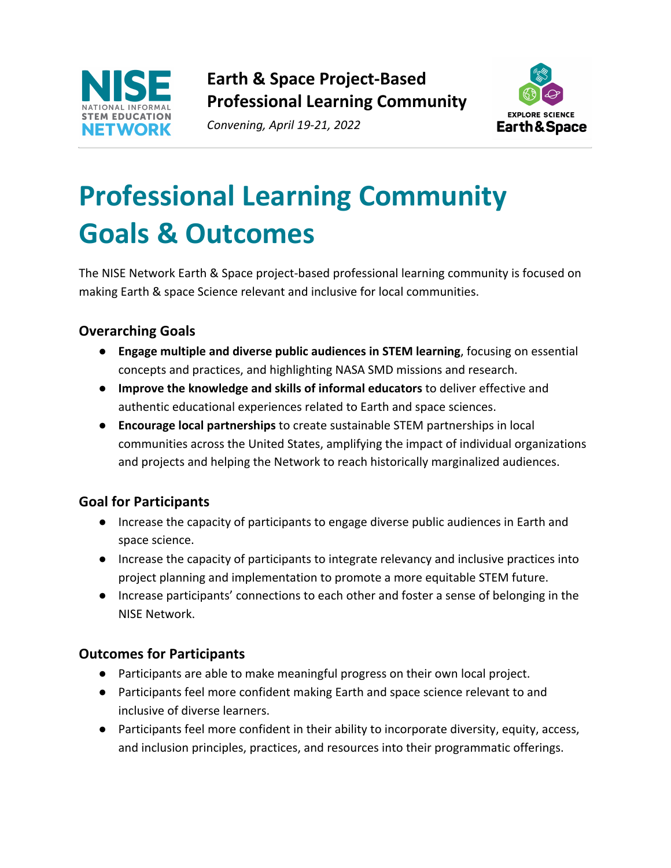

**Earth & Space Project-Based Professional Learning Community**

*Convening, April 19-21, 2022*



## **Professional Learning Community Goals & Outcomes**

The NISE Network Earth & Space project-based professional learning community is focused on making Earth & space Science relevant and inclusive for local communities.

## **Overarching Goals**

- **Engage multiple and diverse public audiences in STEM learning**, focusing on essential concepts and practices, and highlighting NASA SMD missions and research.
- **Improve the knowledge and skills of informal educators** to deliver effective and authentic educational experiences related to Earth and space sciences.
- **Encourage local partnerships** to create sustainable STEM partnerships in local communities across the United States, amplifying the impact of individual organizations and projects and helping the Network to reach historically marginalized audiences.

## **Goal for Participants**

- Increase the capacity of participants to engage diverse public audiences in Earth and space science.
- Increase the capacity of participants to integrate relevancy and inclusive practices into project planning and implementation to promote a more equitable STEM future.
- Increase participants' connections to each other and foster a sense of belonging in the NISE Network.

## **Outcomes for Participants**

- Participants are able to make meaningful progress on their own local project.
- Participants feel more confident making Earth and space science relevant to and inclusive of diverse learners.
- Participants feel more confident in their ability to incorporate diversity, equity, access, and inclusion principles, practices, and resources into their programmatic offerings.